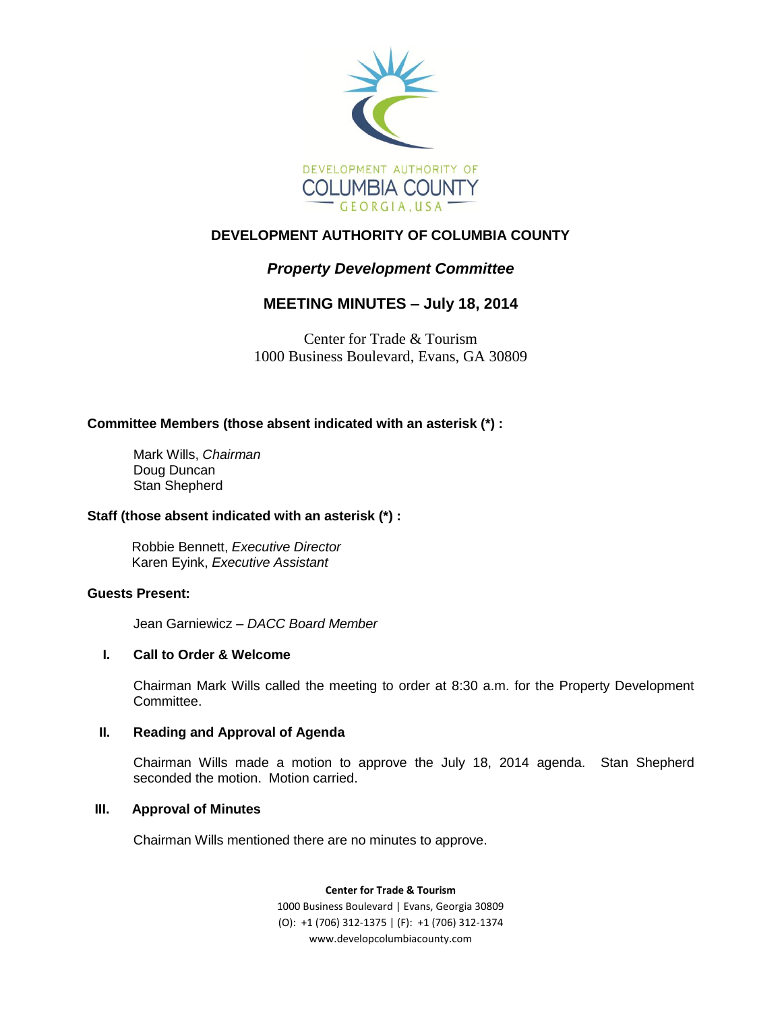

## **DEVELOPMENT AUTHORITY OF COLUMBIA COUNTY**

# *Property Development Committee*

## **MEETING MINUTES – July 18, 2014**

Center for Trade & Tourism 1000 Business Boulevard, Evans, GA 30809

## **Committee Members (those absent indicated with an asterisk (\*) :**

Mark Wills, *Chairman* Doug Duncan Stan Shepherd

## **Staff (those absent indicated with an asterisk (\*) :**

Robbie Bennett, *Executive Director* Karen Eyink, *Executive Assistant*

## **Guests Present:**

Jean Garniewicz – *DACC Board Member*

## **I. Call to Order & Welcome**

Chairman Mark Wills called the meeting to order at 8:30 a.m. for the Property Development Committee.

## **II. Reading and Approval of Agenda**

Chairman Wills made a motion to approve the July 18, 2014 agenda. Stan Shepherd seconded the motion. Motion carried.

#### **III. Approval of Minutes**

Chairman Wills mentioned there are no minutes to approve.

**Center for Trade & Tourism**

1000 Business Boulevard | Evans, Georgia 30809 (O): +1 (706) 312-1375 | (F): +1 (706) 312-1374 www.developcolumbiacounty.com